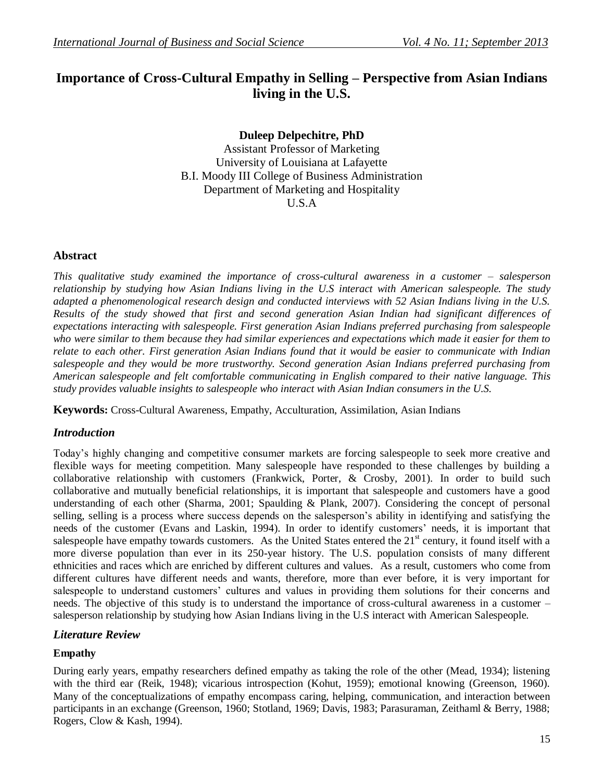# **Importance of Cross-Cultural Empathy in Selling – Perspective from Asian Indians living in the U.S.**

**Duleep Delpechitre, PhD**

Assistant Professor of Marketing University of Louisiana at Lafayette B.I. Moody III College of Business Administration Department of Marketing and Hospitality U.S.A

### **Abstract**

*This qualitative study examined the importance of cross-cultural awareness in a customer – salesperson relationship by studying how Asian Indians living in the U.S interact with American salespeople. The study adapted a phenomenological research design and conducted interviews with 52 Asian Indians living in the U.S. Results of the study showed that first and second generation Asian Indian had significant differences of expectations interacting with salespeople. First generation Asian Indians preferred purchasing from salespeople who were similar to them because they had similar experiences and expectations which made it easier for them to relate to each other. First generation Asian Indians found that it would be easier to communicate with Indian salespeople and they would be more trustworthy. Second generation Asian Indians preferred purchasing from American salespeople and felt comfortable communicating in English compared to their native language. This study provides valuable insights to salespeople who interact with Asian Indian consumers in the U.S.*

**Keywords:** Cross-Cultural Awareness, Empathy, Acculturation, Assimilation, Asian Indians

# *Introduction*

Today's highly changing and competitive consumer markets are forcing salespeople to seek more creative and flexible ways for meeting competition. Many salespeople have responded to these challenges by building a collaborative relationship with customers (Frankwick, Porter, & Crosby, 2001). In order to build such collaborative and mutually beneficial relationships, it is important that salespeople and customers have a good understanding of each other (Sharma, 2001; Spaulding & Plank, 2007). Considering the concept of personal selling, selling is a process where success depends on the salesperson's ability in identifying and satisfying the needs of the customer (Evans and Laskin, 1994). In order to identify customers' needs, it is important that salespeople have empathy towards customers. As the United States entered the  $21<sup>st</sup>$  century, it found itself with a more diverse population than ever in its 250-year history. The U.S. population consists of many different ethnicities and races which are enriched by different cultures and values. As a result, customers who come from different cultures have different needs and wants, therefore, more than ever before, it is very important for salespeople to understand customers' cultures and values in providing them solutions for their concerns and needs. The objective of this study is to understand the importance of cross-cultural awareness in a customer – salesperson relationship by studying how Asian Indians living in the U.S interact with American Salespeople.

### *Literature Review*

# **Empathy**

During early years, empathy researchers defined empathy as taking the role of the other (Mead, 1934); listening with the third ear (Reik, 1948); vicarious introspection (Kohut, 1959); emotional knowing (Greenson, 1960). Many of the conceptualizations of empathy encompass caring, helping, communication, and interaction between participants in an exchange (Greenson, 1960; Stotland, 1969; Davis, 1983; Parasuraman, Zeithaml & Berry, 1988; Rogers, Clow & Kash, 1994).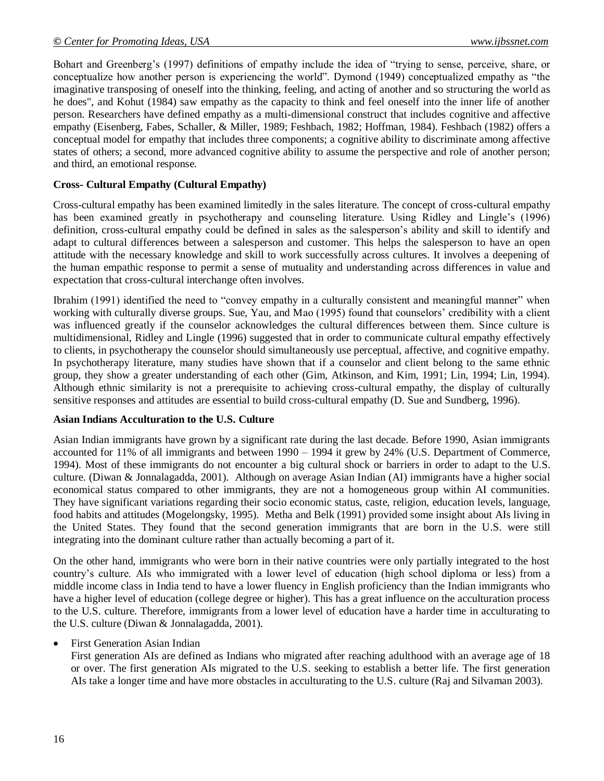Bohart and Greenberg's (1997) definitions of empathy include the idea of "trying to sense, perceive, share, or conceptualize how another person is experiencing the world". Dymond (1949) conceptualized empathy as "the imaginative transposing of oneself into the thinking, feeling, and acting of another and so structuring the world as he does", and Kohut (1984) saw empathy as the capacity to think and feel oneself into the inner life of another person. Researchers have defined empathy as a multi-dimensional construct that includes cognitive and affective empathy (Eisenberg, Fabes, Schaller, & Miller, 1989; Feshbach, 1982; Hoffman, 1984). Feshbach (1982) offers a conceptual model for empathy that includes three components; a cognitive ability to discriminate among affective states of others; a second, more advanced cognitive ability to assume the perspective and role of another person; and third, an emotional response.

#### **Cross- Cultural Empathy (Cultural Empathy)**

Cross-cultural empathy has been examined limitedly in the sales literature. The concept of cross-cultural empathy has been examined greatly in psychotherapy and counseling literature. Using Ridley and Lingle's (1996) definition, cross-cultural empathy could be defined in sales as the salesperson's ability and skill to identify and adapt to cultural differences between a salesperson and customer. This helps the salesperson to have an open attitude with the necessary knowledge and skill to work successfully across cultures. It involves a deepening of the human empathic response to permit a sense of mutuality and understanding across differences in value and expectation that cross-cultural interchange often involves.

Ibrahim (1991) identified the need to "convey empathy in a culturally consistent and meaningful manner" when working with culturally diverse groups. Sue, Yau, and Mao (1995) found that counselors' credibility with a client was influenced greatly if the counselor acknowledges the cultural differences between them. Since culture is multidimensional, Ridley and Lingle (1996) suggested that in order to communicate cultural empathy effectively to clients, in psychotherapy the counselor should simultaneously use perceptual, affective, and cognitive empathy. In psychotherapy literature, many studies have shown that if a counselor and client belong to the same ethnic group, they show a greater understanding of each other (Gim, Atkinson, and Kim, 1991; Lin, 1994; Lin, 1994). Although ethnic similarity is not a prerequisite to achieving cross-cultural empathy, the display of culturally sensitive responses and attitudes are essential to build cross-cultural empathy (D. Sue and Sundberg, 1996).

#### **Asian Indians Acculturation to the U.S. Culture**

Asian Indian immigrants have grown by a significant rate during the last decade. Before 1990, Asian immigrants accounted for 11% of all immigrants and between 1990 – 1994 it grew by 24% (U.S. Department of Commerce, 1994). Most of these immigrants do not encounter a big cultural shock or barriers in order to adapt to the U.S. culture. (Diwan & Jonnalagadda, 2001). Although on average Asian Indian (AI) immigrants have a higher social economical status compared to other immigrants, they are not a homogeneous group within AI communities. They have significant variations regarding their socio economic status, caste, religion, education levels, language, food habits and attitudes (Mogelongsky, 1995). Metha and Belk (1991) provided some insight about AIs living in the United States. They found that the second generation immigrants that are born in the U.S. were still integrating into the dominant culture rather than actually becoming a part of it.

On the other hand, immigrants who were born in their native countries were only partially integrated to the host country's culture. AIs who immigrated with a lower level of education (high school diploma or less) from a middle income class in India tend to have a lower fluency in English proficiency than the Indian immigrants who have a higher level of education (college degree or higher). This has a great influence on the acculturation process to the U.S. culture. Therefore, immigrants from a lower level of education have a harder time in acculturating to the U.S. culture (Diwan & Jonnalagadda, 2001).

#### First Generation Asian Indian

First generation AIs are defined as Indians who migrated after reaching adulthood with an average age of 18 or over. The first generation AIs migrated to the U.S. seeking to establish a better life. The first generation AIs take a longer time and have more obstacles in acculturating to the U.S. culture (Raj and Silvaman 2003).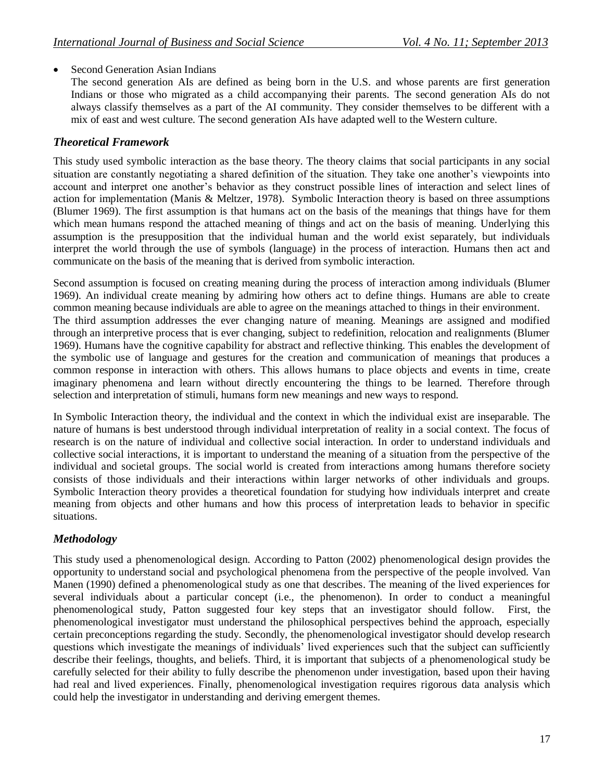## Second Generation Asian Indians

The second generation AIs are defined as being born in the U.S. and whose parents are first generation Indians or those who migrated as a child accompanying their parents. The second generation AIs do not always classify themselves as a part of the AI community. They consider themselves to be different with a mix of east and west culture. The second generation AIs have adapted well to the Western culture.

## *Theoretical Framework*

This study used symbolic interaction as the base theory. The theory claims that social participants in any social situation are constantly negotiating a shared definition of the situation. They take one another's viewpoints into account and interpret one another's behavior as they construct possible lines of interaction and select lines of action for implementation (Manis & Meltzer, 1978). Symbolic Interaction theory is based on three assumptions (Blumer 1969). The first assumption is that humans act on the basis of the meanings that things have for them which mean humans respond the attached meaning of things and act on the basis of meaning. Underlying this assumption is the presupposition that the individual human and the world exist separately, but individuals interpret the world through the use of symbols (language) in the process of interaction. Humans then act and communicate on the basis of the meaning that is derived from symbolic interaction.

Second assumption is focused on creating meaning during the process of interaction among individuals (Blumer 1969). An individual create meaning by admiring how others act to define things. Humans are able to create common meaning because individuals are able to agree on the meanings attached to things in their environment. The third assumption addresses the ever changing nature of meaning. Meanings are assigned and modified through an interpretive process that is ever changing, subject to redefinition, relocation and realignments (Blumer 1969). Humans have the cognitive capability for abstract and reflective thinking. This enables the development of the symbolic use of language and gestures for the creation and communication of meanings that produces a common response in interaction with others. This allows humans to place objects and events in time, create imaginary phenomena and learn without directly encountering the things to be learned. Therefore through selection and interpretation of stimuli, humans form new meanings and new ways to respond.

In Symbolic Interaction theory, the individual and the context in which the individual exist are inseparable. The nature of humans is best understood through individual interpretation of reality in a social context. The focus of research is on the nature of individual and collective social interaction. In order to understand individuals and collective social interactions, it is important to understand the meaning of a situation from the perspective of the individual and societal groups. The social world is created from interactions among humans therefore society consists of those individuals and their interactions within larger networks of other individuals and groups. Symbolic Interaction theory provides a theoretical foundation for studying how individuals interpret and create meaning from objects and other humans and how this process of interpretation leads to behavior in specific situations.

# *Methodology*

This study used a phenomenological design. According to Patton (2002) phenomenological design provides the opportunity to understand social and psychological phenomena from the perspective of the people involved. Van Manen (1990) defined a phenomenological study as one that describes. The meaning of the lived experiences for several individuals about a particular concept (i.e., the phenomenon). In order to conduct a meaningful phenomenological study, Patton suggested four key steps that an investigator should follow. First, the phenomenological investigator must understand the philosophical perspectives behind the approach, especially certain preconceptions regarding the study. Secondly, the phenomenological investigator should develop research questions which investigate the meanings of individuals' lived experiences such that the subject can sufficiently describe their feelings, thoughts, and beliefs. Third, it is important that subjects of a phenomenological study be carefully selected for their ability to fully describe the phenomenon under investigation, based upon their having had real and lived experiences. Finally, phenomenological investigation requires rigorous data analysis which could help the investigator in understanding and deriving emergent themes.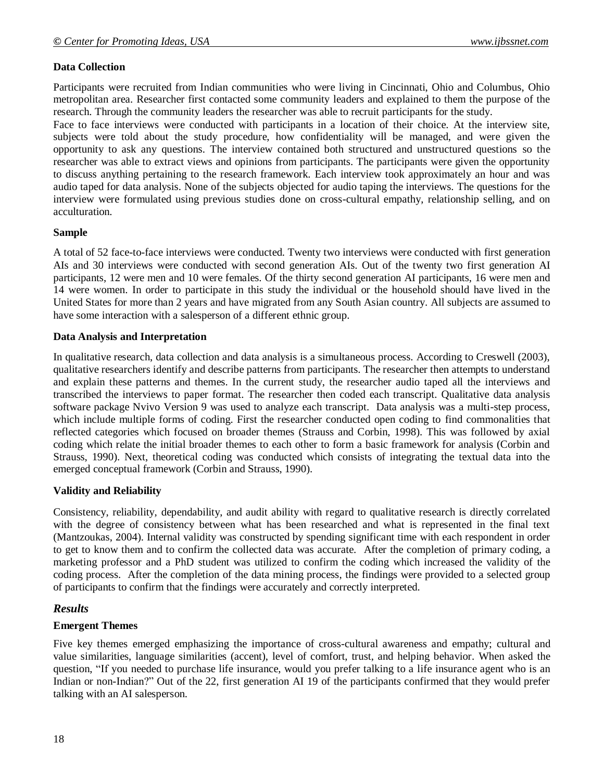## **Data Collection**

Participants were recruited from Indian communities who were living in Cincinnati, Ohio and Columbus, Ohio metropolitan area. Researcher first contacted some community leaders and explained to them the purpose of the research. Through the community leaders the researcher was able to recruit participants for the study.

Face to face interviews were conducted with participants in a location of their choice. At the interview site, subjects were told about the study procedure, how confidentiality will be managed, and were given the opportunity to ask any questions. The interview contained both structured and unstructured questions so the researcher was able to extract views and opinions from participants. The participants were given the opportunity to discuss anything pertaining to the research framework. Each interview took approximately an hour and was audio taped for data analysis. None of the subjects objected for audio taping the interviews. The questions for the interview were formulated using previous studies done on cross-cultural empathy, relationship selling, and on acculturation.

### **Sample**

A total of 52 face-to-face interviews were conducted. Twenty two interviews were conducted with first generation AIs and 30 interviews were conducted with second generation AIs. Out of the twenty two first generation AI participants, 12 were men and 10 were females. Of the thirty second generation AI participants, 16 were men and 14 were women. In order to participate in this study the individual or the household should have lived in the United States for more than 2 years and have migrated from any South Asian country. All subjects are assumed to have some interaction with a salesperson of a different ethnic group.

### **Data Analysis and Interpretation**

In qualitative research, data collection and data analysis is a simultaneous process. According to Creswell (2003), qualitative researchers identify and describe patterns from participants. The researcher then attempts to understand and explain these patterns and themes. In the current study, the researcher audio taped all the interviews and transcribed the interviews to paper format. The researcher then coded each transcript. Qualitative data analysis software package Nvivo Version 9 was used to analyze each transcript. Data analysis was a multi-step process, which include multiple forms of coding. First the researcher conducted open coding to find commonalities that reflected categories which focused on broader themes (Strauss and Corbin, 1998). This was followed by axial coding which relate the initial broader themes to each other to form a basic framework for analysis (Corbin and Strauss, 1990). Next, theoretical coding was conducted which consists of integrating the textual data into the emerged conceptual framework (Corbin and Strauss, 1990).

### **Validity and Reliability**

Consistency, reliability, dependability, and audit ability with regard to qualitative research is directly correlated with the degree of consistency between what has been researched and what is represented in the final text (Mantzoukas, 2004). Internal validity was constructed by spending significant time with each respondent in order to get to know them and to confirm the collected data was accurate. After the completion of primary coding, a marketing professor and a PhD student was utilized to confirm the coding which increased the validity of the coding process. After the completion of the data mining process, the findings were provided to a selected group of participants to confirm that the findings were accurately and correctly interpreted.

### *Results*

### **Emergent Themes**

Five key themes emerged emphasizing the importance of cross-cultural awareness and empathy; cultural and value similarities, language similarities (accent), level of comfort, trust, and helping behavior. When asked the question, "If you needed to purchase life insurance, would you prefer talking to a life insurance agent who is an Indian or non-Indian?" Out of the 22, first generation AI 19 of the participants confirmed that they would prefer talking with an AI salesperson.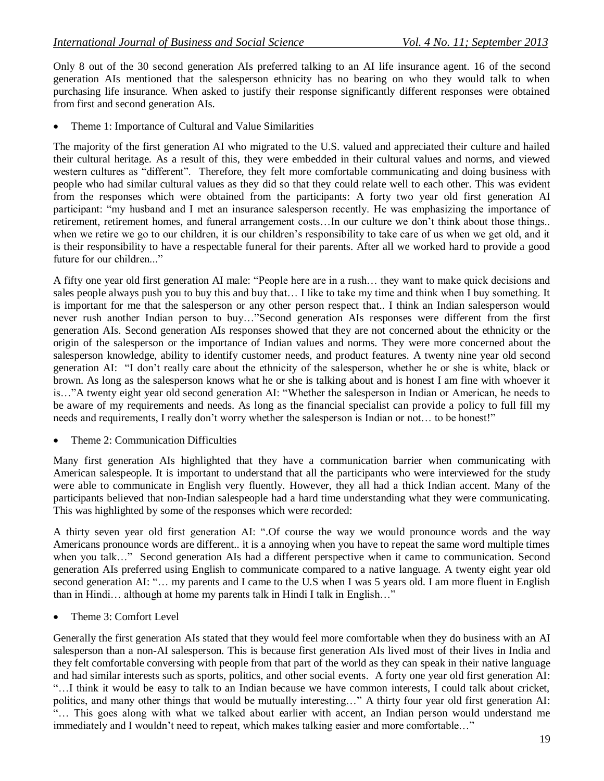Only 8 out of the 30 second generation AIs preferred talking to an AI life insurance agent. 16 of the second generation AIs mentioned that the salesperson ethnicity has no bearing on who they would talk to when purchasing life insurance. When asked to justify their response significantly different responses were obtained from first and second generation AIs.

Theme 1: Importance of Cultural and Value Similarities

The majority of the first generation AI who migrated to the U.S. valued and appreciated their culture and hailed their cultural heritage. As a result of this, they were embedded in their cultural values and norms, and viewed western cultures as "different". Therefore, they felt more comfortable communicating and doing business with people who had similar cultural values as they did so that they could relate well to each other. This was evident from the responses which were obtained from the participants: A forty two year old first generation AI participant: "my husband and I met an insurance salesperson recently. He was emphasizing the importance of retirement, retirement homes, and funeral arrangement costs…In our culture we don't think about those things.. when we retire we go to our children, it is our children's responsibility to take care of us when we get old, and it is their responsibility to have a respectable funeral for their parents. After all we worked hard to provide a good future for our children..."

A fifty one year old first generation AI male: "People here are in a rush… they want to make quick decisions and sales people always push you to buy this and buy that… I like to take my time and think when I buy something. It is important for me that the salesperson or any other person respect that.. I think an Indian salesperson would never rush another Indian person to buy…"Second generation AIs responses were different from the first generation AIs. Second generation AIs responses showed that they are not concerned about the ethnicity or the origin of the salesperson or the importance of Indian values and norms. They were more concerned about the salesperson knowledge, ability to identify customer needs, and product features. A twenty nine year old second generation AI: "I don't really care about the ethnicity of the salesperson, whether he or she is white, black or brown. As long as the salesperson knows what he or she is talking about and is honest I am fine with whoever it is…"A twenty eight year old second generation AI: "Whether the salesperson in Indian or American, he needs to be aware of my requirements and needs. As long as the financial specialist can provide a policy to full fill my needs and requirements, I really don't worry whether the salesperson is Indian or not… to be honest!"

Theme 2: Communication Difficulties

Many first generation AIs highlighted that they have a communication barrier when communicating with American salespeople. It is important to understand that all the participants who were interviewed for the study were able to communicate in English very fluently. However, they all had a thick Indian accent. Many of the participants believed that non-Indian salespeople had a hard time understanding what they were communicating. This was highlighted by some of the responses which were recorded:

A thirty seven year old first generation AI: ".Of course the way we would pronounce words and the way Americans pronounce words are different.. it is a annoying when you have to repeat the same word multiple times when you talk…" Second generation AIs had a different perspective when it came to communication. Second generation AIs preferred using English to communicate compared to a native language. A twenty eight year old second generation AI: "... my parents and I came to the U.S when I was 5 years old. I am more fluent in English than in Hindi… although at home my parents talk in Hindi I talk in English…"

Theme 3: Comfort Level

Generally the first generation AIs stated that they would feel more comfortable when they do business with an AI salesperson than a non-AI salesperson. This is because first generation AIs lived most of their lives in India and they felt comfortable conversing with people from that part of the world as they can speak in their native language and had similar interests such as sports, politics, and other social events. A forty one year old first generation AI: "…I think it would be easy to talk to an Indian because we have common interests, I could talk about cricket, politics, and many other things that would be mutually interesting…" A thirty four year old first generation AI: "… This goes along with what we talked about earlier with accent, an Indian person would understand me immediately and I wouldn't need to repeat, which makes talking easier and more comfortable…"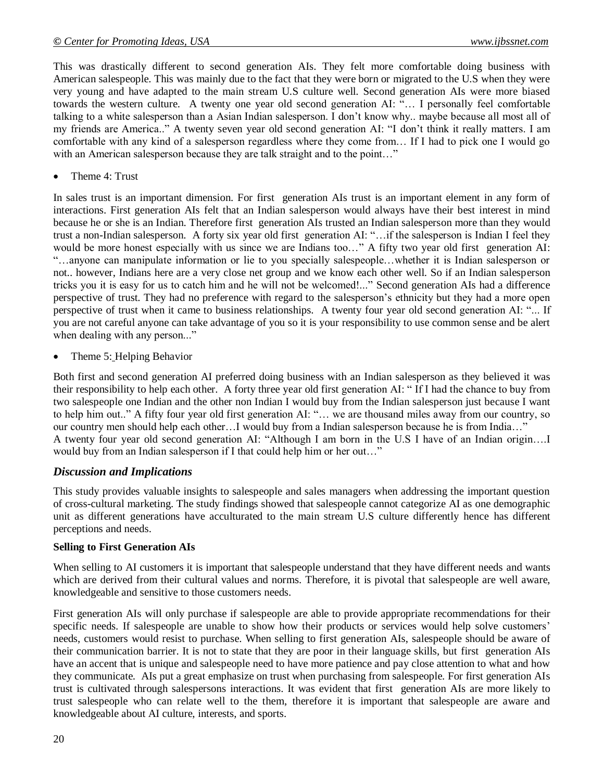This was drastically different to second generation AIs. They felt more comfortable doing business with American salespeople. This was mainly due to the fact that they were born or migrated to the U.S when they were very young and have adapted to the main stream U.S culture well. Second generation AIs were more biased towards the western culture. A twenty one year old second generation AI: "… I personally feel comfortable talking to a white salesperson than a Asian Indian salesperson. I don't know why.. maybe because all most all of my friends are America.." A twenty seven year old second generation AI: "I don't think it really matters. I am comfortable with any kind of a salesperson regardless where they come from… If I had to pick one I would go with an American salesperson because they are talk straight and to the point..."

Theme 4: Trust

In sales trust is an important dimension. For first generation AIs trust is an important element in any form of interactions. First generation AIs felt that an Indian salesperson would always have their best interest in mind because he or she is an Indian. Therefore first generation AIs trusted an Indian salesperson more than they would trust a non-Indian salesperson. A forty six year old first generation AI: "…if the salesperson is Indian I feel they would be more honest especially with us since we are Indians too..." A fifty two year old first generation AI: "…anyone can manipulate information or lie to you specially salespeople…whether it is Indian salesperson or not.. however, Indians here are a very close net group and we know each other well. So if an Indian salesperson tricks you it is easy for us to catch him and he will not be welcomed!..." Second generation AIs had a difference perspective of trust. They had no preference with regard to the salesperson's ethnicity but they had a more open perspective of trust when it came to business relationships. A twenty four year old second generation AI: "... If you are not careful anyone can take advantage of you so it is your responsibility to use common sense and be alert when dealing with any person..."

Theme 5: Helping Behavior

Both first and second generation AI preferred doing business with an Indian salesperson as they believed it was their responsibility to help each other. A forty three year old first generation AI: " If I had the chance to buy from two salespeople one Indian and the other non Indian I would buy from the Indian salesperson just because I want to help him out.." A fifty four year old first generation AI: "… we are thousand miles away from our country, so our country men should help each other…I would buy from a Indian salesperson because he is from India…" A twenty four year old second generation AI: "Although I am born in the U.S I have of an Indian origin….I would buy from an Indian salesperson if I that could help him or her out…"

### *Discussion and Implications*

This study provides valuable insights to salespeople and sales managers when addressing the important question of cross-cultural marketing. The study findings showed that salespeople cannot categorize AI as one demographic unit as different generations have acculturated to the main stream U.S culture differently hence has different perceptions and needs.

### **Selling to First Generation AIs**

When selling to AI customers it is important that salespeople understand that they have different needs and wants which are derived from their cultural values and norms. Therefore, it is pivotal that salespeople are well aware, knowledgeable and sensitive to those customers needs.

First generation AIs will only purchase if salespeople are able to provide appropriate recommendations for their specific needs. If salespeople are unable to show how their products or services would help solve customers' needs, customers would resist to purchase. When selling to first generation AIs, salespeople should be aware of their communication barrier. It is not to state that they are poor in their language skills, but first generation AIs have an accent that is unique and salespeople need to have more patience and pay close attention to what and how they communicate. AIs put a great emphasize on trust when purchasing from salespeople. For first generation AIs trust is cultivated through salespersons interactions. It was evident that first generation AIs are more likely to trust salespeople who can relate well to the them, therefore it is important that salespeople are aware and knowledgeable about AI culture, interests, and sports.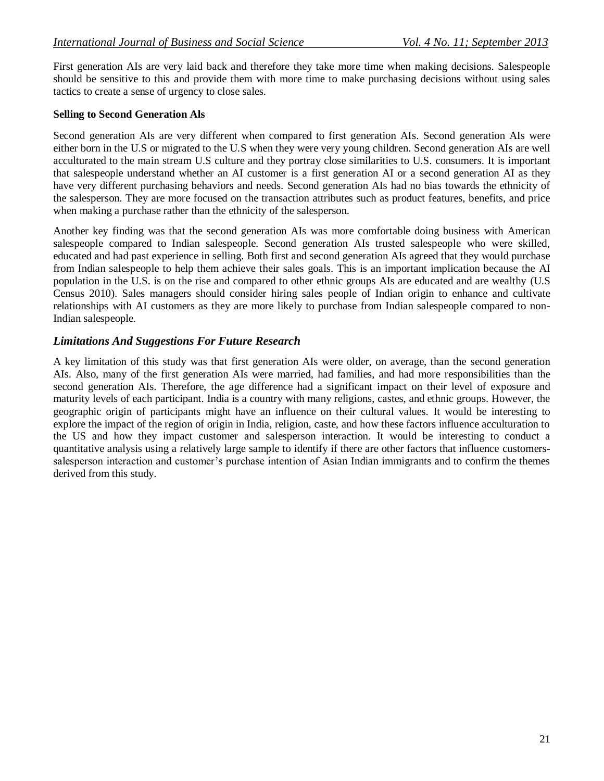First generation AIs are very laid back and therefore they take more time when making decisions. Salespeople should be sensitive to this and provide them with more time to make purchasing decisions without using sales tactics to create a sense of urgency to close sales.

#### **Selling to Second Generation Als**

Second generation AIs are very different when compared to first generation AIs. Second generation AIs were either born in the U.S or migrated to the U.S when they were very young children. Second generation AIs are well acculturated to the main stream U.S culture and they portray close similarities to U.S. consumers. It is important that salespeople understand whether an AI customer is a first generation AI or a second generation AI as they have very different purchasing behaviors and needs. Second generation AIs had no bias towards the ethnicity of the salesperson. They are more focused on the transaction attributes such as product features, benefits, and price when making a purchase rather than the ethnicity of the salesperson.

Another key finding was that the second generation AIs was more comfortable doing business with American salespeople compared to Indian salespeople. Second generation AIs trusted salespeople who were skilled, educated and had past experience in selling. Both first and second generation AIs agreed that they would purchase from Indian salespeople to help them achieve their sales goals. This is an important implication because the AI population in the U.S. is on the rise and compared to other ethnic groups AIs are educated and are wealthy (U.S Census 2010). Sales managers should consider hiring sales people of Indian origin to enhance and cultivate relationships with AI customers as they are more likely to purchase from Indian salespeople compared to non-Indian salespeople.

## *Limitations And Suggestions For Future Research*

A key limitation of this study was that first generation AIs were older, on average, than the second generation AIs. Also, many of the first generation AIs were married, had families, and had more responsibilities than the second generation AIs. Therefore, the age difference had a significant impact on their level of exposure and maturity levels of each participant. India is a country with many religions, castes, and ethnic groups. However, the geographic origin of participants might have an influence on their cultural values. It would be interesting to explore the impact of the region of origin in India, religion, caste, and how these factors influence acculturation to the US and how they impact customer and salesperson interaction. It would be interesting to conduct a quantitative analysis using a relatively large sample to identify if there are other factors that influence customerssalesperson interaction and customer's purchase intention of Asian Indian immigrants and to confirm the themes derived from this study.